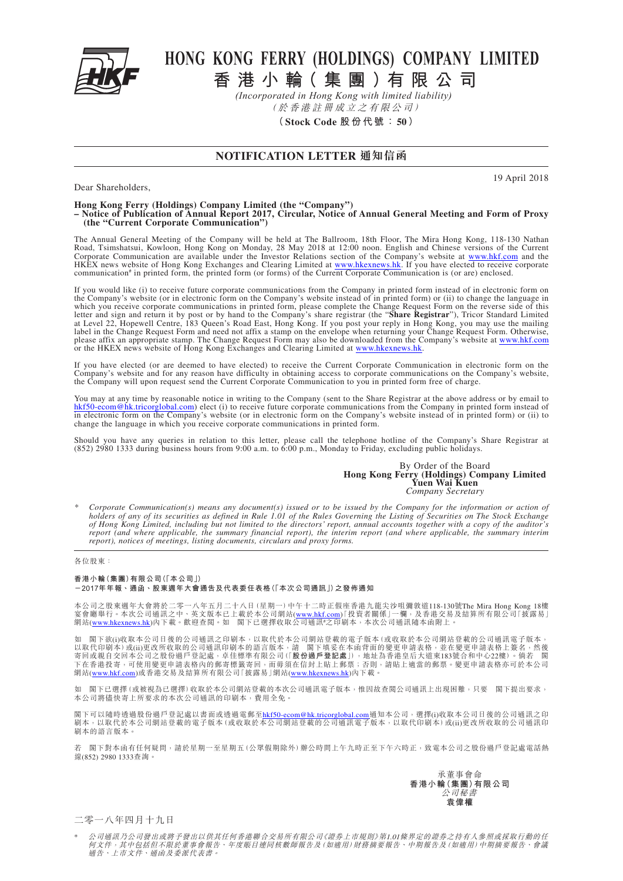

Dear Shareholders,

## **HONG KONG FERRY (HOLDINGS) COMPANY LIMITED**

**香港小 輪(集團 )有限公司**

(於香港註冊成立之有限公司) *(Incorporated in Hong Kong with limited liability)*

**(Stock Code 股份代號:50)**

## **NOTIFICATION LETTER 通知信函**

19 April 2018

## **Hong Kong Ferry (Holdings) Company Limited (the "Company") – Notice of Publication of Annual Report 2017, Circular, Notice of Annual General Meeting and Form of Proxy (the "Current Corporate Communication")**

The Annual General Meeting of the Company will be held at The Ballroom, 18th Floor, The Mira Hong Kong, 118-130 Nathan Road, Tsimshatsui, Kowloon, Hong Kong on Monday, 28 May 2018 at 12:00 noon. English and Chinese versions of the Current Corporate Communication are available under the Investor Relations section of the Company's website at www.hkf.com and the HKEX news website of Hong Kong Exchanges and Clearing Limited at www.hkexnews.hk. If you have elected to receive corporate communication<sup>#</sup> in printed form, the printed form (or forms) of the Current Corporate Communication is (or are) enclosed.

If you would like (i) to receive future corporate communications from the Company in printed form instead of in electronic form on the Company's website (or in electronic form on the Company's website instead of in printed form) or (ii) to change the language in which you receive corporate communications in printed form, please complete the Change Request Form on the reverse side of this letter and sign and return it by post or by hand to the Company's share registrar (the "Share at Level 22, Hopewell Centre, 183 Queen's Road East, Hong Kong. If you post your reply in Hong Kong, you may use the mailing label in the Change Request Form and need not affix a stamp on the envelope when returning your Change Request Form. Otherwise, please affix an appropriate stamp. The Change Request Form may also be downloaded from the Company's website at www.hkf.com or the HKEX news website of Hong Kong Exchanges and Clearing Limited at www.hkexnews.hk.

If you have elected (or are deemed to have elected) to receive the Current Corporate Communication in electronic form on the Company's website and for any reason have difficulty in obtaining access to corporate communications on the Company's website, the Company will upon request send the Current Corporate Communication to you in printed form free of charge.

You may at any time by reasonable notice in writing to the Company (sent to the Share Registrar at the above address or by email to hkf50-ecom@hk.tricorglobal.com) elect (i) to receive future corporate communications from the Company in printed form instead of in electronic form on the Company's website (or in electronic form on the Company's website instead of in printed form) or (ii) to change the language in which you receive corporate communications in printed form.

Should you have any queries in relation to this letter, please call the telephone hotline of the Company's Share Registrar at (852) 2980 1333 during business hours from 9:00 a.m. to 6:00 p.m., Monday to Friday, excluding public holidays.

> By Order of the Board **Hong Kong Ferry (Holdings) Company Limited Yuen Wai Kuen** *Company Secretary*

*\* Corporate Communication(s) means any document(s) issued or to be issued by the Company for the information or action of holders of any of its securities as defined in Rule 1.01 of the Rules Governing the Listing of Securities on The Stock Exchange of Hong Kong Limited, including but not limited to the directors' report, annual accounts together with a copy of the auditor's report (and where applicable, the summary financial report), the interim report (and where applicable, the summary interim report), notices of meetings, listing documents, circulars and proxy forms.*

## 各位股東:

**香港小輪(集團)有限公司(「本公司」) -2017年年報、通函、股東週年大會通告及代表委任表格(「本次公司通訊」)之發佈通知**

本公司之股東週年大會將於二零一八年五月二十八日(星期一)中午十二時正假座香港九龍尖沙咀彌敦道118-130號The Mira Hong Kong 18樓<br>宴會廳舉行。本次公司通訊之中、英文版本已上載於本公司網站(<u>www.hkf.com</u>)「投資者關係」一欄,及香港交易及結算所有限公司「披露易」<br>網站(<u>www.hkexnews.hk</u>)內下載。歡迎查閱。如 閣下已選擇收取公司通訊#之印刷本,本次公司通訊隨本函附上。

如 閣下欲(i)收取本公司日後的公司通訊之印刷本,以取代於本公司網站登載的電子版本(或收取於本公司網站登載的公司通訊電子版本, 以取代印刷本)或(ii)更改所收取的公司通訊印刷本的語言版本,請 閣下填妥在本函背面的變更申請表格,並在變更申請表格上簽名,然後<br>寄回或親自交回本公司之股份過戶登記處,卓佳標準有限公司(I**股份過戶登記處**』),地址為香港皇后大道東183號合和中心22樓)。倘若 閣<br>下在香港投寄,可使用變更申請表格內的郵寄標籤寄回,而毋須在信封上貼上郵票;否則,請貼上適當的郵票。變更申請表格亦可於本公司<br>網站(<u>www.hkf.com</u>)或香港交易及結算

閣下已選擇(或被視為已選擇)收取於本公司網站登載的本次公司通訊電子版本,惟因故查閱公司通訊上出現困難,只要 閣下提出要求, 本公司將儘快寄上所要求的本次公司通訊的印刷本,費用全免。

閣下可以隨時透過股份過戶登記處以書面或透過電郵至<u>[hkf50-ecom@hk.tricorglobal.com](mailto:hkf50-ecom@hk.tricorglobal.com)</u>通知本公司,選擇(j)收取本公司日後的公司通訊之印<br>刷本,以取代於本公司網站登載的電子版本 (或收取於本公司網站登載的公司通訊電子版本,以取代印刷本) 或(ii)更改所收取的公司通訊印 刷本的語言版本。

若 閣下對本函有任何疑問,請於星期一至星期五(公眾假期除外)辦公時間上午九時正至下午六時正,致電本公司之股份過戶登記處電話熱 線(852) 2980 1333查詢。



二零一八年四月十九日

公司通訊乃公司發出或將予發出以供其任何香港聯合交易所有限公司《證券上市規則》第1.01條界定的證券之持有人參照或採取行動的任 何文件,其中包括但不限於董事會報告、年度賬目連同核數師報告及(如適用)財務摘要報告、中期報告及(如適用)中期摘要報告、會議<br>通告、上市文件、通函及委派代表書。